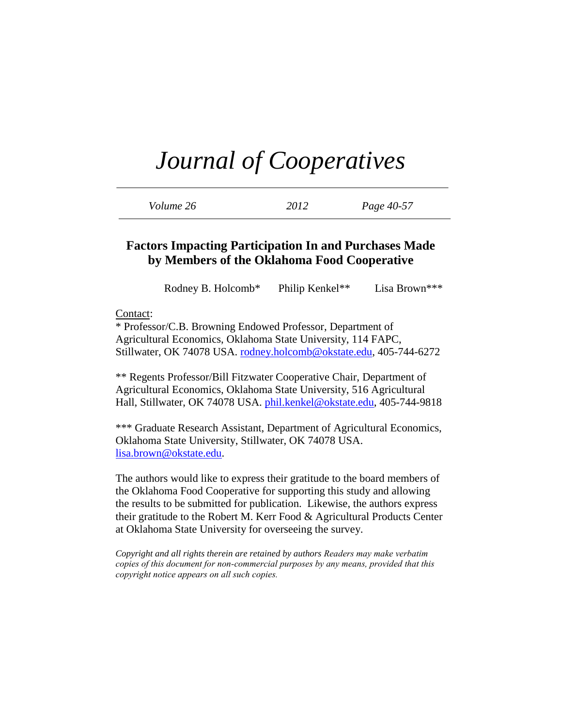| Volume 26 | 2012 | Page 40-57 |
|-----------|------|------------|
|-----------|------|------------|

## **Factors Impacting Participation In and Purchases Made by Members of the Oklahoma Food Cooperative**

Rodney B. Holcomb\* Philip Kenkel\*\* Lisa Brown\*\*\*

Contact:

\* Professor/C.B. Browning Endowed Professor, Department of Agricultural Economics, Oklahoma State University, 114 FAPC, Stillwater, OK 74078 USA. [rodney.holcomb@okstate.edu,](mailto:rodney.holcomb@okstate.edu) 405-744-6272

\*\* Regents Professor/Bill Fitzwater Cooperative Chair, Department of Agricultural Economics, Oklahoma State University, 516 Agricultural Hall, Stillwater, OK 74078 USA. [phil.kenkel@okstate.edu,](mailto:phil.kenkel@okstate.edu) 405-744-9818

\*\*\* Graduate Research Assistant, Department of Agricultural Economics, Oklahoma State University, Stillwater, OK 74078 USA. [lisa.brown@okstate.edu.](mailto:lisa.brown@okstate.edu)

The authors would like to express their gratitude to the board members of the Oklahoma Food Cooperative for supporting this study and allowing the results to be submitted for publication. Likewise, the authors express their gratitude to the Robert M. Kerr Food & Agricultural Products Center at Oklahoma State University for overseeing the survey.

*Copyright and all rights therein are retained by authors Readers may make verbatim copies of this document for non-commercial purposes by any means, provided that this copyright notice appears on all such copies.*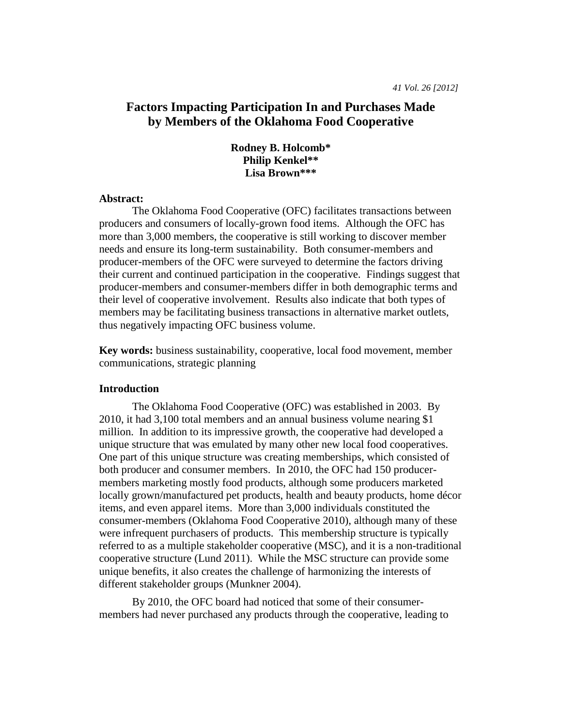## **Factors Impacting Participation In and Purchases Made by Members of the Oklahoma Food Cooperative**

### **Rodney B. Holcomb\* Philip Kenkel\*\* Lisa Brown\*\*\***

#### **Abstract:**

The Oklahoma Food Cooperative (OFC) facilitates transactions between producers and consumers of locally-grown food items. Although the OFC has more than 3,000 members, the cooperative is still working to discover member needs and ensure its long-term sustainability. Both consumer-members and producer-members of the OFC were surveyed to determine the factors driving their current and continued participation in the cooperative. Findings suggest that producer-members and consumer-members differ in both demographic terms and their level of cooperative involvement. Results also indicate that both types of members may be facilitating business transactions in alternative market outlets, thus negatively impacting OFC business volume.

**Key words:** business sustainability, cooperative, local food movement, member communications, strategic planning

#### **Introduction**

The Oklahoma Food Cooperative (OFC) was established in 2003. By 2010, it had 3,100 total members and an annual business volume nearing \$1 million. In addition to its impressive growth, the cooperative had developed a unique structure that was emulated by many other new local food cooperatives. One part of this unique structure was creating memberships, which consisted of both producer and consumer members. In 2010, the OFC had 150 producermembers marketing mostly food products, although some producers marketed locally grown/manufactured pet products, health and beauty products, home décor items, and even apparel items. More than 3,000 individuals constituted the consumer-members (Oklahoma Food Cooperative 2010), although many of these were infrequent purchasers of products. This membership structure is typically referred to as a multiple stakeholder cooperative (MSC), and it is a non-traditional cooperative structure (Lund 2011). While the MSC structure can provide some unique benefits, it also creates the challenge of harmonizing the interests of different stakeholder groups (Munkner 2004).

By 2010, the OFC board had noticed that some of their consumermembers had never purchased any products through the cooperative, leading to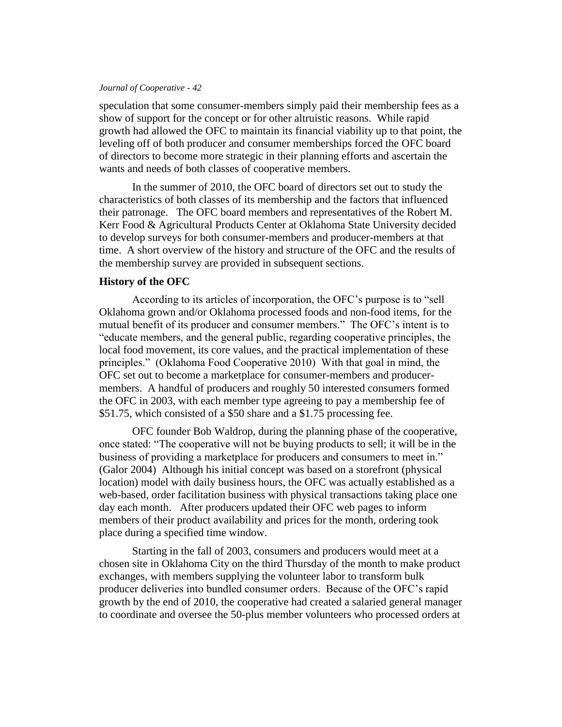speculation that some consumer-members simply paid their membership fees as a show of support for the concept or for other altruistic reasons. While rapid growth had allowed the OFC to maintain its financial viability up to that point, the leveling off of both producer and consumer memberships forced the OFC board of directors to become more strategic in their planning efforts and ascertain the wants and needs of both classes of cooperative members.

In the summer of 2010, the OFC board of directors set out to study the characteristics of both classes of its membership and the factors that influenced their patronage. The OFC board members and representatives of the Robert M. Kerr Food & Agricultural Products Center at Oklahoma State University decided to develop surveys for both consumer-members and producer-members at that time. A short overview of the history and structure of the OFC and the results of the membership survey are provided in subsequent sections.

#### **History of the OFC**

According to its articles of incorporation, the OFC's purpose is to "sell Oklahoma grown and/or Oklahoma processed foods and non-food items, for the mutual benefit of its producer and consumer members." The OFC's intent is to "educate members, and the general public, regarding cooperative principles, the local food movement, its core values, and the practical implementation of these principles." (Oklahoma Food Cooperative 2010) With that goal in mind, the OFC set out to become a marketplace for consumer-members and producermembers. A handful of producers and roughly 50 interested consumers formed the OFC in 2003, with each member type agreeing to pay a membership fee of \$51.75, which consisted of a \$50 share and a \$1.75 processing fee.

OFC founder Bob Waldrop, during the planning phase of the cooperative, once stated: "The cooperative will not be buying products to sell; it will be in the business of providing a marketplace for producers and consumers to meet in." (Galor 2004) Although his initial concept was based on a storefront (physical location) model with daily business hours, the OFC was actually established as a web-based, order facilitation business with physical transactions taking place one day each month. After producers updated their OFC web pages to inform members of their product availability and prices for the month, ordering took place during a specified time window.

Starting in the fall of 2003, consumers and producers would meet at a chosen site in Oklahoma City on the third Thursday of the month to make product exchanges, with members supplying the volunteer labor to transform bulk producer deliveries into bundled consumer orders. Because of the OFC's rapid growth by the end of 2010, the cooperative had created a salaried general manager to coordinate and oversee the 50-plus member volunteers who processed orders at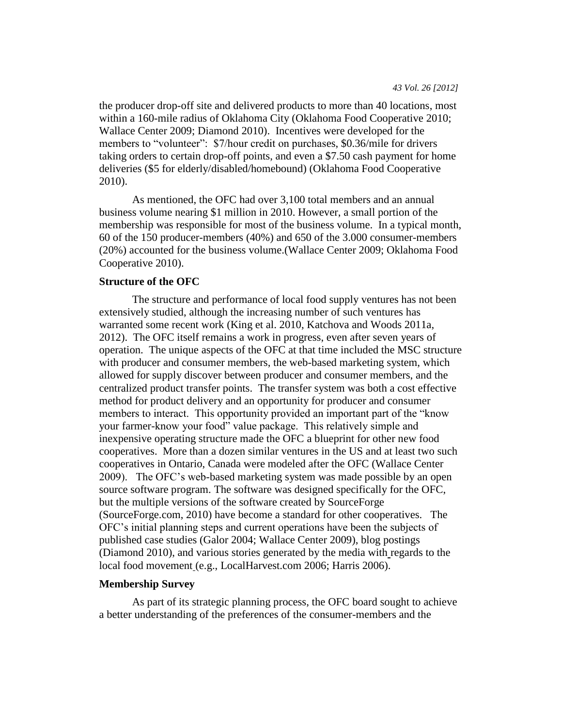the producer drop-off site and delivered products to more than 40 locations, most within a 160-mile radius of Oklahoma City (Oklahoma Food Cooperative 2010; Wallace Center 2009; Diamond 2010). Incentives were developed for the members to "volunteer": \$7/hour credit on purchases, \$0.36/mile for drivers taking orders to certain drop-off points, and even a \$7.50 cash payment for home deliveries (\$5 for elderly/disabled/homebound) (Oklahoma Food Cooperative 2010).

As mentioned, the OFC had over 3,100 total members and an annual business volume nearing \$1 million in 2010. However, a small portion of the membership was responsible for most of the business volume. In a typical month, 60 of the 150 producer-members (40%) and 650 of the 3.000 consumer-members (20%) accounted for the business volume.(Wallace Center 2009; Oklahoma Food Cooperative 2010).

#### **Structure of the OFC**

The structure and performance of local food supply ventures has not been extensively studied, although the increasing number of such ventures has warranted some recent work (King et al. 2010, Katchova and Woods 2011a, 2012). The OFC itself remains a work in progress, even after seven years of operation. The unique aspects of the OFC at that time included the MSC structure with producer and consumer members, the web-based marketing system, which allowed for supply discover between producer and consumer members, and the centralized product transfer points. The transfer system was both a cost effective method for product delivery and an opportunity for producer and consumer members to interact. This opportunity provided an important part of the "know your farmer-know your food" value package. This relatively simple and inexpensive operating structure made the OFC a blueprint for other new food cooperatives. More than a dozen similar ventures in the US and at least two such cooperatives in Ontario, Canada were modeled after the OFC (Wallace Center 2009). The OFC's web-based marketing system was made possible by an open source software program. The software was designed specifically for the OFC, but the multiple versions of the software created by SourceForge (SourceForge.com, 2010) have become a standard for other cooperatives. The OFC's initial planning steps and current operations have been the subjects of published case studies (Galor 2004; Wallace Center 2009), blog postings (Diamond 2010), and various stories generated by the media with regards to the local food movement (e.g., LocalHarvest.com 2006; Harris 2006).

#### **Membership Survey**

As part of its strategic planning process, the OFC board sought to achieve a better understanding of the preferences of the consumer-members and the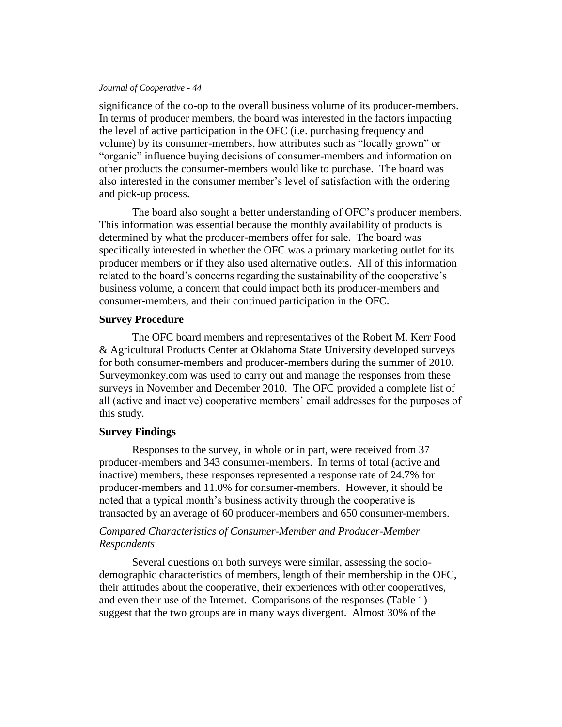significance of the co-op to the overall business volume of its producer-members. In terms of producer members, the board was interested in the factors impacting the level of active participation in the OFC (i.e. purchasing frequency and volume) by its consumer-members, how attributes such as "locally grown" or "organic" influence buying decisions of consumer-members and information on other products the consumer-members would like to purchase. The board was also interested in the consumer member's level of satisfaction with the ordering and pick-up process.

The board also sought a better understanding of OFC's producer members. This information was essential because the monthly availability of products is determined by what the producer-members offer for sale. The board was specifically interested in whether the OFC was a primary marketing outlet for its producer members or if they also used alternative outlets. All of this information related to the board's concerns regarding the sustainability of the cooperative's business volume, a concern that could impact both its producer-members and consumer-members, and their continued participation in the OFC.

#### **Survey Procedure**

The OFC board members and representatives of the Robert M. Kerr Food & Agricultural Products Center at Oklahoma State University developed surveys for both consumer-members and producer-members during the summer of 2010. Surveymonkey.com was used to carry out and manage the responses from these surveys in November and December 2010. The OFC provided a complete list of all (active and inactive) cooperative members' email addresses for the purposes of this study.

#### **Survey Findings**

Responses to the survey, in whole or in part, were received from 37 producer-members and 343 consumer-members. In terms of total (active and inactive) members, these responses represented a response rate of 24.7% for producer-members and 11.0% for consumer-members. However, it should be noted that a typical month's business activity through the cooperative is transacted by an average of 60 producer-members and 650 consumer-members.

#### *Compared Characteristics of Consumer-Member and Producer-Member Respondents*

Several questions on both surveys were similar, assessing the sociodemographic characteristics of members, length of their membership in the OFC, their attitudes about the cooperative, their experiences with other cooperatives, and even their use of the Internet. Comparisons of the responses (Table 1) suggest that the two groups are in many ways divergent. Almost 30% of the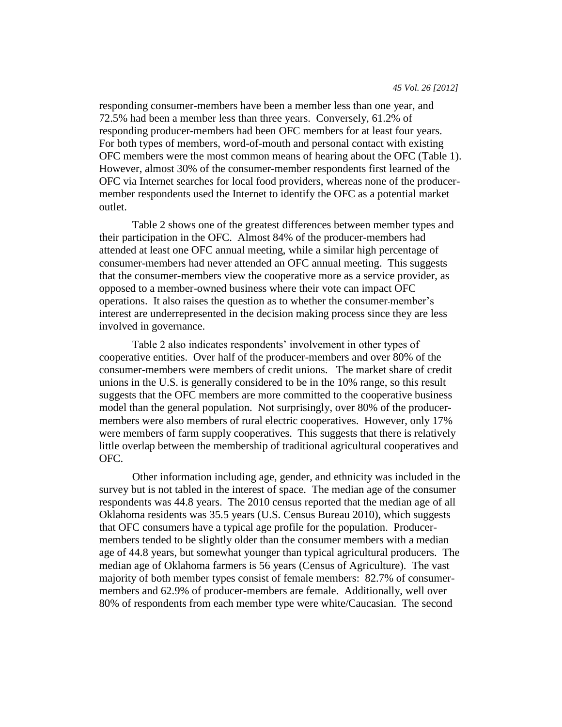responding consumer-members have been a member less than one year, and 72.5% had been a member less than three years. Conversely, 61.2% of responding producer-members had been OFC members for at least four years. For both types of members, word-of-mouth and personal contact with existing OFC members were the most common means of hearing about the OFC (Table 1). However, almost 30% of the consumer-member respondents first learned of the OFC via Internet searches for local food providers, whereas none of the producermember respondents used the Internet to identify the OFC as a potential market outlet.

Table 2 shows one of the greatest differences between member types and their participation in the OFC. Almost 84% of the producer-members had attended at least one OFC annual meeting, while a similar high percentage of consumer-members had never attended an OFC annual meeting. This suggests that the consumer-members view the cooperative more as a service provider, as opposed to a member-owned business where their vote can impact OFC operations. It also raises the question as to whether the consumer-member's interest are underrepresented in the decision making process since they are less involved in governance.

Table 2 also indicates respondents' involvement in other types of cooperative entities. Over half of the producer-members and over 80% of the consumer-members were members of credit unions. The market share of credit unions in the U.S. is generally considered to be in the 10% range, so this result suggests that the OFC members are more committed to the cooperative business model than the general population. Not surprisingly, over 80% of the producermembers were also members of rural electric cooperatives. However, only 17% were members of farm supply cooperatives. This suggests that there is relatively little overlap between the membership of traditional agricultural cooperatives and OFC.

Other information including age, gender, and ethnicity was included in the survey but is not tabled in the interest of space. The median age of the consumer respondents was 44.8 years. The 2010 census reported that the median age of all Oklahoma residents was 35.5 years (U.S. Census Bureau 2010), which suggests that OFC consumers have a typical age profile for the population. Producermembers tended to be slightly older than the consumer members with a median age of 44.8 years, but somewhat younger than typical agricultural producers. The median age of Oklahoma farmers is 56 years (Census of Agriculture). The vast majority of both member types consist of female members: 82.7% of consumermembers and 62.9% of producer-members are female. Additionally, well over 80% of respondents from each member type were white/Caucasian. The second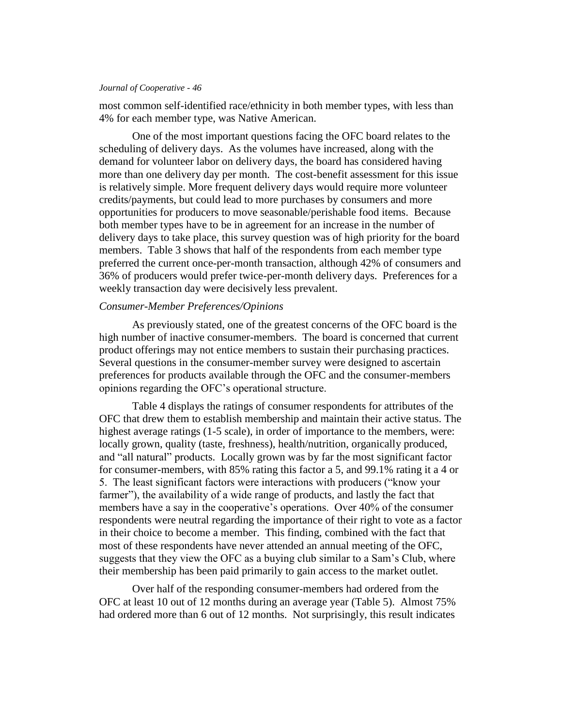most common self-identified race/ethnicity in both member types, with less than 4% for each member type, was Native American.

One of the most important questions facing the OFC board relates to the scheduling of delivery days. As the volumes have increased, along with the demand for volunteer labor on delivery days, the board has considered having more than one delivery day per month. The cost-benefit assessment for this issue is relatively simple. More frequent delivery days would require more volunteer credits/payments, but could lead to more purchases by consumers and more opportunities for producers to move seasonable/perishable food items. Because both member types have to be in agreement for an increase in the number of delivery days to take place, this survey question was of high priority for the board members. Table 3 shows that half of the respondents from each member type preferred the current once-per-month transaction, although 42% of consumers and 36% of producers would prefer twice-per-month delivery days. Preferences for a weekly transaction day were decisively less prevalent.

#### *Consumer-Member Preferences/Opinions*

As previously stated, one of the greatest concerns of the OFC board is the high number of inactive consumer-members. The board is concerned that current product offerings may not entice members to sustain their purchasing practices. Several questions in the consumer-member survey were designed to ascertain preferences for products available through the OFC and the consumer-members opinions regarding the OFC's operational structure.

Table 4 displays the ratings of consumer respondents for attributes of the OFC that drew them to establish membership and maintain their active status. The highest average ratings (1-5 scale), in order of importance to the members, were: locally grown, quality (taste, freshness), health/nutrition, organically produced, and "all natural" products. Locally grown was by far the most significant factor for consumer-members, with 85% rating this factor a 5, and 99.1% rating it a 4 or 5. The least significant factors were interactions with producers ("know your farmer"), the availability of a wide range of products, and lastly the fact that members have a say in the cooperative's operations. Over 40% of the consumer respondents were neutral regarding the importance of their right to vote as a factor in their choice to become a member. This finding, combined with the fact that most of these respondents have never attended an annual meeting of the OFC, suggests that they view the OFC as a buying club similar to a Sam's Club, where their membership has been paid primarily to gain access to the market outlet.

Over half of the responding consumer-members had ordered from the OFC at least 10 out of 12 months during an average year (Table 5). Almost 75% had ordered more than 6 out of 12 months. Not surprisingly, this result indicates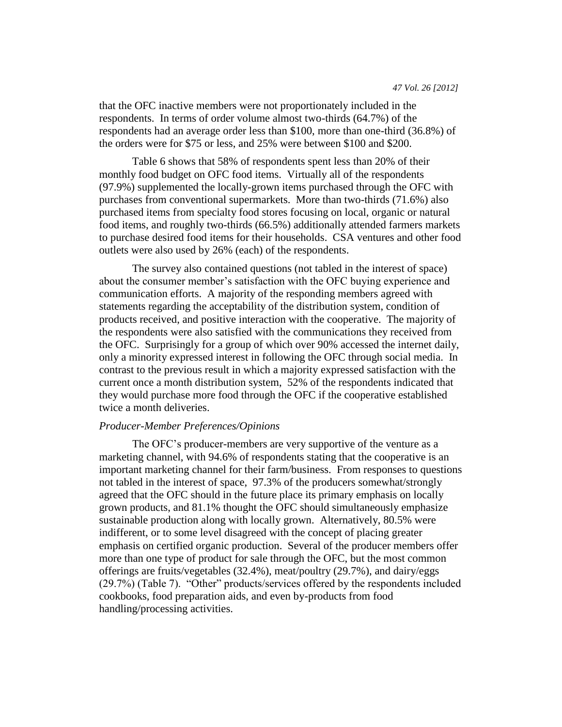that the OFC inactive members were not proportionately included in the respondents. In terms of order volume almost two-thirds (64.7%) of the respondents had an average order less than \$100, more than one-third (36.8%) of the orders were for \$75 or less, and 25% were between \$100 and \$200.

Table 6 shows that 58% of respondents spent less than 20% of their monthly food budget on OFC food items. Virtually all of the respondents (97.9%) supplemented the locally-grown items purchased through the OFC with purchases from conventional supermarkets. More than two-thirds (71.6%) also purchased items from specialty food stores focusing on local, organic or natural food items, and roughly two-thirds (66.5%) additionally attended farmers markets to purchase desired food items for their households. CSA ventures and other food outlets were also used by 26% (each) of the respondents.

The survey also contained questions (not tabled in the interest of space) about the consumer member's satisfaction with the OFC buying experience and communication efforts. A majority of the responding members agreed with statements regarding the acceptability of the distribution system, condition of products received, and positive interaction with the cooperative. The majority of the respondents were also satisfied with the communications they received from the OFC. Surprisingly for a group of which over 90% accessed the internet daily, only a minority expressed interest in following the OFC through social media. In contrast to the previous result in which a majority expressed satisfaction with the current once a month distribution system, 52% of the respondents indicated that they would purchase more food through the OFC if the cooperative established twice a month deliveries.

#### *Producer-Member Preferences/Opinions*

The OFC's producer-members are very supportive of the venture as a marketing channel, with 94.6% of respondents stating that the cooperative is an important marketing channel for their farm/business. From responses to questions not tabled in the interest of space, 97.3% of the producers somewhat/strongly agreed that the OFC should in the future place its primary emphasis on locally grown products, and 81.1% thought the OFC should simultaneously emphasize sustainable production along with locally grown. Alternatively, 80.5% were indifferent, or to some level disagreed with the concept of placing greater emphasis on certified organic production. Several of the producer members offer more than one type of product for sale through the OFC, but the most common offerings are fruits/vegetables (32.4%), meat/poultry (29.7%), and dairy/eggs (29.7%) (Table 7). "Other" products/services offered by the respondents included cookbooks, food preparation aids, and even by-products from food handling/processing activities.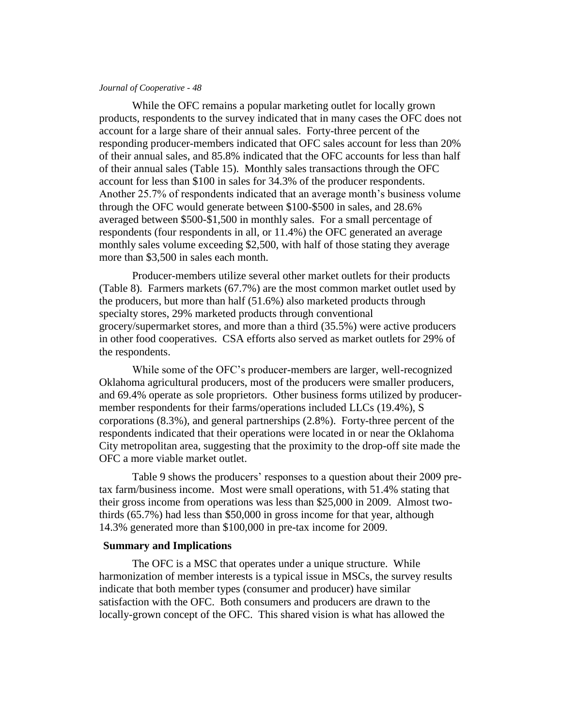While the OFC remains a popular marketing outlet for locally grown products, respondents to the survey indicated that in many cases the OFC does not account for a large share of their annual sales. Forty-three percent of the responding producer-members indicated that OFC sales account for less than 20% of their annual sales, and 85.8% indicated that the OFC accounts for less than half of their annual sales (Table 15). Monthly sales transactions through the OFC account for less than \$100 in sales for 34.3% of the producer respondents. Another 25.7% of respondents indicated that an average month's business volume through the OFC would generate between \$100-\$500 in sales, and 28.6% averaged between \$500-\$1,500 in monthly sales. For a small percentage of respondents (four respondents in all, or 11.4%) the OFC generated an average monthly sales volume exceeding \$2,500, with half of those stating they average more than \$3,500 in sales each month.

Producer-members utilize several other market outlets for their products (Table 8). Farmers markets (67.7%) are the most common market outlet used by the producers, but more than half (51.6%) also marketed products through specialty stores, 29% marketed products through conventional grocery/supermarket stores, and more than a third (35.5%) were active producers in other food cooperatives. CSA efforts also served as market outlets for 29% of the respondents.

While some of the OFC's producer-members are larger, well-recognized Oklahoma agricultural producers, most of the producers were smaller producers, and 69.4% operate as sole proprietors. Other business forms utilized by producermember respondents for their farms/operations included LLCs (19.4%), S corporations (8.3%), and general partnerships (2.8%). Forty-three percent of the respondents indicated that their operations were located in or near the Oklahoma City metropolitan area, suggesting that the proximity to the drop-off site made the OFC a more viable market outlet.

Table 9 shows the producers' responses to a question about their 2009 pretax farm/business income. Most were small operations, with 51.4% stating that their gross income from operations was less than \$25,000 in 2009. Almost twothirds (65.7%) had less than \$50,000 in gross income for that year, although 14.3% generated more than \$100,000 in pre-tax income for 2009.

#### **Summary and Implications**

The OFC is a MSC that operates under a unique structure. While harmonization of member interests is a typical issue in MSCs, the survey results indicate that both member types (consumer and producer) have similar satisfaction with the OFC. Both consumers and producers are drawn to the locally-grown concept of the OFC. This shared vision is what has allowed the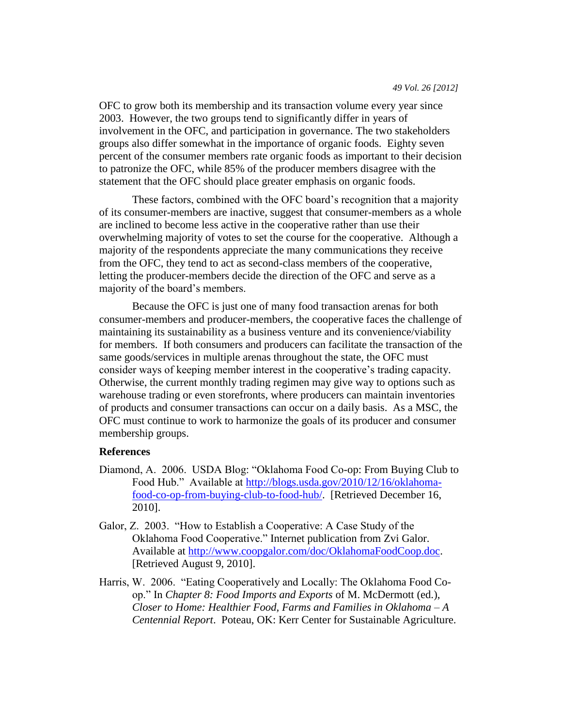OFC to grow both its membership and its transaction volume every year since 2003. However, the two groups tend to significantly differ in years of involvement in the OFC, and participation in governance. The two stakeholders groups also differ somewhat in the importance of organic foods. Eighty seven percent of the consumer members rate organic foods as important to their decision to patronize the OFC, while 85% of the producer members disagree with the statement that the OFC should place greater emphasis on organic foods.

These factors, combined with the OFC board's recognition that a majority of its consumer-members are inactive, suggest that consumer-members as a whole are inclined to become less active in the cooperative rather than use their overwhelming majority of votes to set the course for the cooperative. Although a majority of the respondents appreciate the many communications they receive from the OFC, they tend to act as second-class members of the cooperative, letting the producer-members decide the direction of the OFC and serve as a majority of the board's members.

Because the OFC is just one of many food transaction arenas for both consumer-members and producer-members, the cooperative faces the challenge of maintaining its sustainability as a business venture and its convenience/viability for members. If both consumers and producers can facilitate the transaction of the same goods/services in multiple arenas throughout the state, the OFC must consider ways of keeping member interest in the cooperative's trading capacity. Otherwise, the current monthly trading regimen may give way to options such as warehouse trading or even storefronts, where producers can maintain inventories of products and consumer transactions can occur on a daily basis. As a MSC, the OFC must continue to work to harmonize the goals of its producer and consumer membership groups.

#### **References**

- Diamond, A. 2006. USDA Blog: "Oklahoma Food Co-op: From Buying Club to Food Hub." Available at [http://blogs.usda.gov/2010/12/16/oklahoma](http://blogs.usda.gov/2010/12/16/oklahoma-food-co-op-from-buying-club-to-food-hub/)[food-co-op-from-buying-club-to-food-hub/.](http://blogs.usda.gov/2010/12/16/oklahoma-food-co-op-from-buying-club-to-food-hub/) [Retrieved December 16, 2010].
- Galor, Z. 2003. "How to Establish a Cooperative: A Case Study of the Oklahoma Food Cooperative." Internet publication from Zvi Galor. Available at [http://www.coopgalor.com/doc/OklahomaFoodCoop.doc.](http://www.coopgalor.com/doc/OklahomaFoodCoop.doc) [Retrieved August 9, 2010].
- Harris, W. 2006. "Eating Cooperatively and Locally: The Oklahoma Food Coop." In *Chapter 8: Food Imports and Exports* of M. McDermott (ed.), *Closer to Home: Healthier Food, Farms and Families in Oklahoma – A Centennial Report*. Poteau, OK: Kerr Center for Sustainable Agriculture.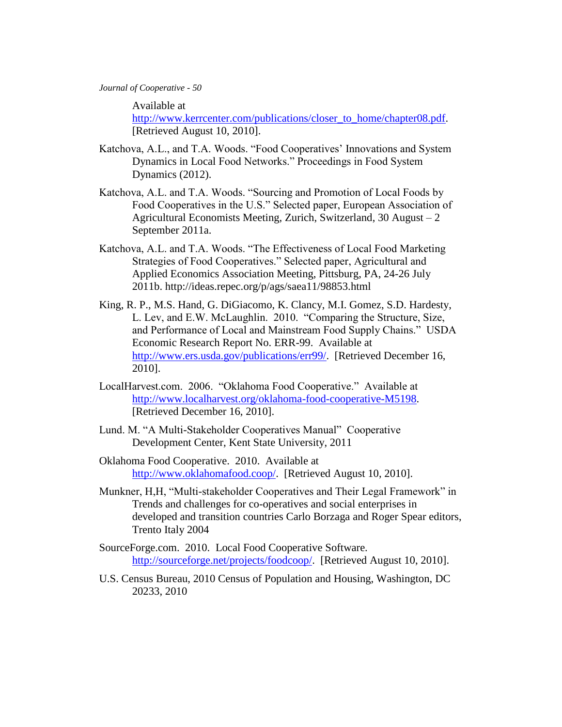Available at

[http://www.kerrcenter.com/publications/closer\\_to\\_home/chapter08.pdf.](http://www.kerrcenter.com/publications/closer_to_home/chapter08.pdf) [Retrieved August 10, 2010].

- Katchova, A.L., and T.A. Woods. "Food Cooperatives' Innovations and System Dynamics in Local Food Networks." Proceedings in Food System Dynamics (2012).
- Katchova, A.L. and T.A. Woods. "Sourcing and Promotion of Local Foods by Food Cooperatives in the U.S." Selected paper, European Association of Agricultural Economists Meeting, Zurich, Switzerland, 30 August – 2 September 2011a.
- Katchova, A.L. and T.A. Woods. "The Effectiveness of Local Food Marketing Strategies of Food Cooperatives." Selected paper, Agricultural and Applied Economics Association Meeting, Pittsburg, PA, 24-26 July 2011b. http://ideas.repec.org/p/ags/saea11/98853.html
- King, R. P., M.S. Hand, G. DiGiacomo, K. Clancy, M.I. Gomez, S.D. Hardesty, L. Lev, and E.W. McLaughlin. 2010. "Comparing the Structure, Size, and Performance of Local and Mainstream Food Supply Chains." USDA Economic Research Report No. ERR-99. Available at [http://www.ers.usda.gov/publications/err99/.](http://www.ers.usda.gov/publications/err99/) [Retrieved December 16, 2010].
- LocalHarvest.com. 2006. "Oklahoma Food Cooperative." Available at [http://www.localharvest.org/oklahoma-food-cooperative-M5198.](http://www.localharvest.org/oklahoma-food-cooperative-M5198) [Retrieved December 16, 2010].
- Lund. M. "A Multi-Stakeholder Cooperatives Manual" Cooperative Development Center, Kent State University, 2011
- Oklahoma Food Cooperative. 2010. Available at [http://www.oklahomafood.coop/.](http://www.oklahomafood.coop/) [Retrieved August 10, 2010].
- Munkner, H,H, "Multi-stakeholder Cooperatives and Their Legal Framework" in Trends and challenges for co-operatives and social enterprises in developed and transition countries Carlo Borzaga and Roger Spear editors, Trento Italy 2004
- SourceForge.com. 2010. Local Food Cooperative Software. [http://sourceforge.net/projects/foodcoop/.](http://sourceforge.net/projects/foodcoop/) [Retrieved August 10, 2010].
- U.S. Census Bureau, 2010 Census of Population and Housing, Washington, DC 20233, 2010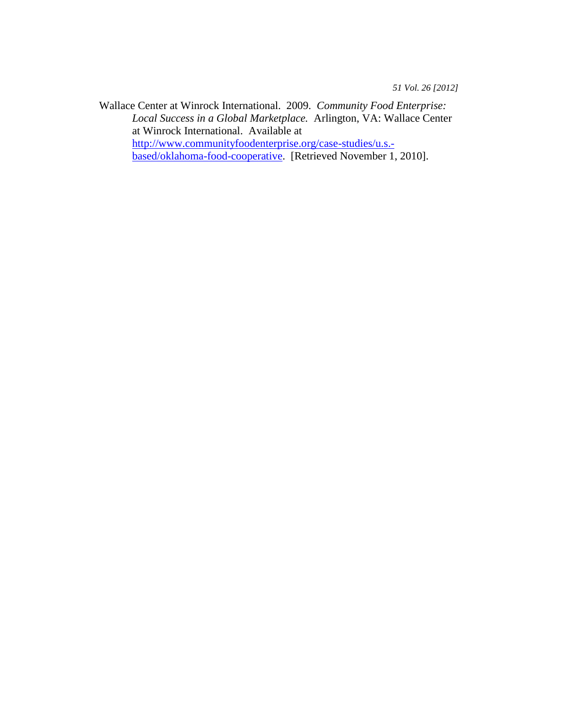Wallace Center at Winrock International. 2009. *Community Food Enterprise: Local Success in a Global Marketplace.* Arlington, VA: Wallace Center at Winrock International. Available at [http://www.communityfoodenterprise.org/case-studies/u.s.](http://www.communityfoodenterprise.org/case-studies/u.s.-based/oklahoma-food-cooperative) [based/oklahoma-food-cooperative.](http://www.communityfoodenterprise.org/case-studies/u.s.-based/oklahoma-food-cooperative) [Retrieved November 1, 2010].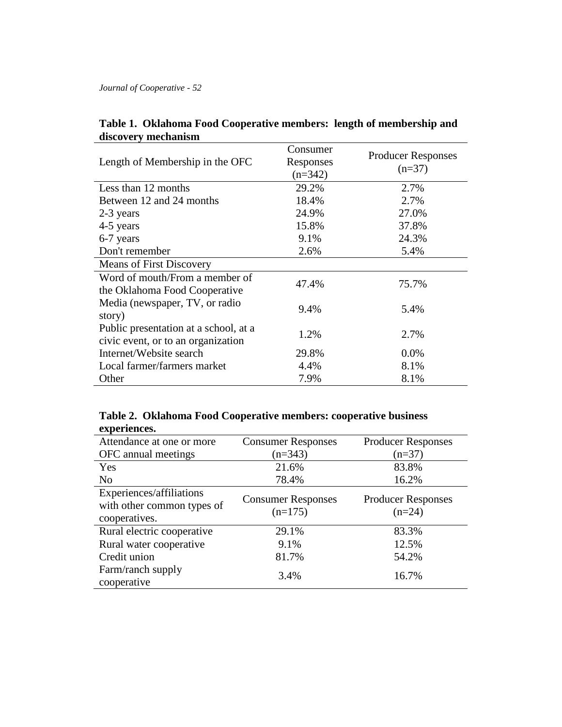| Length of Membership in the OFC                                             | Consumer<br>Responses<br>$(n=342)$ | <b>Producer Responses</b><br>$(n=37)$ |
|-----------------------------------------------------------------------------|------------------------------------|---------------------------------------|
| Less than 12 months                                                         | 29.2%                              | 2.7%                                  |
| Between 12 and 24 months                                                    | 18.4%                              | 2.7%                                  |
| 2-3 years                                                                   | 24.9%                              | 27.0%                                 |
| 4-5 years                                                                   | 15.8%                              | 37.8%                                 |
| 6-7 years                                                                   | 9.1%                               | 24.3%                                 |
| Don't remember                                                              | 2.6%                               | 5.4%                                  |
| <b>Means of First Discovery</b>                                             |                                    |                                       |
| Word of mouth/From a member of<br>the Oklahoma Food Cooperative             | 47.4%                              | 75.7%                                 |
| Media (newspaper, TV, or radio<br>story)                                    | 9.4%                               | 5.4%                                  |
| Public presentation at a school, at a<br>civic event, or to an organization | 1.2%                               | 2.7%                                  |
| Internet/Website search                                                     | 29.8%                              | $0.0\%$                               |
| Local farmer/farmers market                                                 | 4.4%                               | 8.1%                                  |
| Other                                                                       | 7.9%                               | 8.1%                                  |

## **Table 1. Oklahoma Food Cooperative members: length of membership and discovery mechanism**

|              | Table 2. Oklahoma Food Cooperative members: cooperative business |
|--------------|------------------------------------------------------------------|
| experiences. |                                                                  |

| CAPELICIICES.<br>Attendance at one or more                              | <b>Consumer Responses</b>              | <b>Producer Responses</b>             |
|-------------------------------------------------------------------------|----------------------------------------|---------------------------------------|
| OFC annual meetings                                                     | $(n=343)$                              | $(n=37)$                              |
| Yes                                                                     | 21.6%                                  | 83.8%                                 |
| N <sub>o</sub>                                                          | 78.4%                                  | 16.2%                                 |
| Experiences/affiliations<br>with other common types of<br>cooperatives. | <b>Consumer Responses</b><br>$(n=175)$ | <b>Producer Responses</b><br>$(n=24)$ |
| Rural electric cooperative                                              | 29.1%                                  | 83.3%                                 |
| Rural water cooperative                                                 | 9.1%                                   | 12.5%                                 |
| Credit union                                                            | 81.7%                                  | 54.2%                                 |
| Farm/ranch supply<br>cooperative                                        | 3.4%                                   | 16.7%                                 |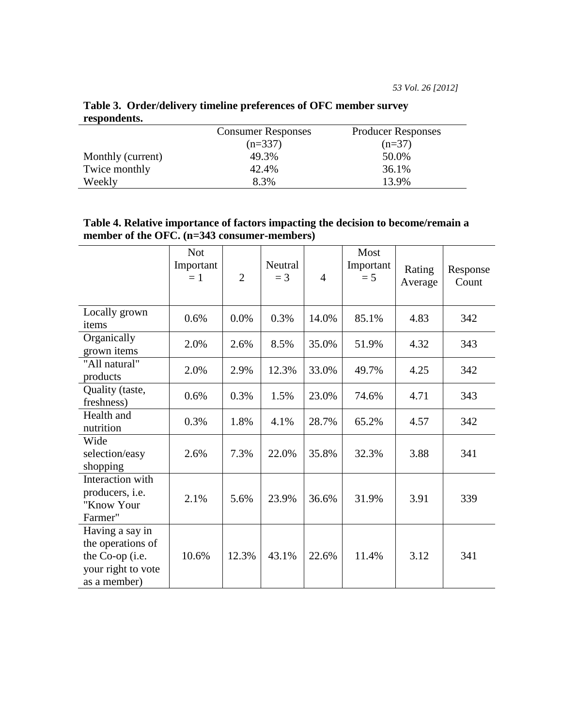| 1 Copondento:     |                           |                           |
|-------------------|---------------------------|---------------------------|
|                   | <b>Consumer Responses</b> | <b>Producer Responses</b> |
|                   | $(n=337)$                 | $(n=37)$                  |
| Monthly (current) | 49.3%                     | 50.0%                     |
| Twice monthly     | 42.4%                     | 36.1%                     |
| Weekly            | 8.3%                      | 13.9%                     |

**Table 3. Order/delivery timeline preferences of OFC member survey respondents.**

| Table 4. Relative importance of factors impacting the decision to become/remain a |
|-----------------------------------------------------------------------------------|
| member of the OFC. (n=343 consumer-members)                                       |

|                                                                                               | <b>Not</b><br>Important<br>$=1$ | $\overline{2}$ | Neutral<br>$=$ 3 | $\overline{4}$ | Most<br>Important<br>$= 5$ | Rating<br>Average | Response<br>Count |
|-----------------------------------------------------------------------------------------------|---------------------------------|----------------|------------------|----------------|----------------------------|-------------------|-------------------|
| Locally grown<br>items                                                                        | 0.6%                            | 0.0%           | 0.3%             | 14.0%          | 85.1%                      | 4.83              | 342               |
| Organically<br>grown items                                                                    | 2.0%                            | 2.6%           | 8.5%             | 35.0%          | 51.9%                      | 4.32              | 343               |
| "All natural"<br>products                                                                     | 2.0%                            | 2.9%           | 12.3%            | 33.0%          | 49.7%                      | 4.25              | 342               |
| Quality (taste,<br>freshness)                                                                 | 0.6%                            | 0.3%           | 1.5%             | 23.0%          | 74.6%                      | 4.71              | 343               |
| Health and<br>nutrition                                                                       | 0.3%                            | 1.8%           | 4.1%             | 28.7%          | 65.2%                      | 4.57              | 342               |
| Wide<br>selection/easy<br>shopping                                                            | 2.6%                            | 7.3%           | 22.0%            | 35.8%          | 32.3%                      | 3.88              | 341               |
| Interaction with<br>producers, <i>i.e.</i><br>"Know Your<br>Farmer"                           | 2.1%                            | 5.6%           | 23.9%            | 36.6%          | 31.9%                      | 3.91              | 339               |
| Having a say in<br>the operations of<br>the Co-op (i.e.<br>your right to vote<br>as a member) | 10.6%                           | 12.3%          | 43.1%            | 22.6%          | 11.4%                      | 3.12              | 341               |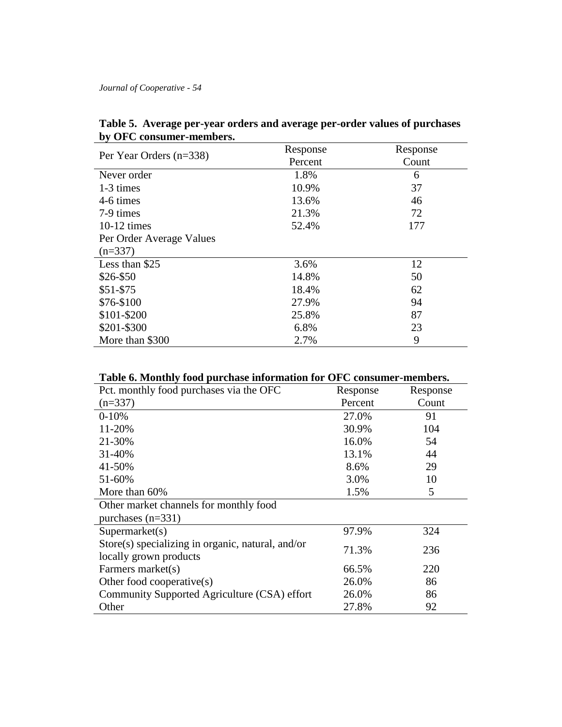| ру От С сонзинкі -інспірсі з. |          |          |
|-------------------------------|----------|----------|
|                               | Response | Response |
| Per Year Orders (n=338)       | Percent  | Count    |
| Never order                   | 1.8%     | 6        |
| 1-3 times                     | 10.9%    | 37       |
| 4-6 times                     | 13.6%    | 46       |
| 7-9 times                     | 21.3%    | 72       |
| $10-12$ times                 | 52.4%    | 177      |
| Per Order Average Values      |          |          |
| $(n=337)$                     |          |          |
| Less than \$25                | 3.6%     | 12       |
| \$26-\$50                     | 14.8%    | 50       |
| $$51-$75$                     | 18.4%    | 62       |
| \$76-\$100                    | 27.9%    | 94       |
| \$101-\$200                   | 25.8%    | 87       |
| \$201-\$300                   | 6.8%     | 23       |
| More than \$300               | 2.7%     | 9        |

**Table 5. Average per-year orders and average per-order values of purchases by OFC consumer-members.**

**Table 6. Monthly food purchase information for OFC consumer-members.**

| Pct. monthly food purchases via the OFC                                        | Response | Response |  |  |
|--------------------------------------------------------------------------------|----------|----------|--|--|
| $(n=337)$                                                                      | Percent  | Count    |  |  |
| $0-10%$                                                                        | 27.0%    | 91       |  |  |
| 11-20%                                                                         | 30.9%    | 104      |  |  |
| 21-30%                                                                         | 16.0%    | 54       |  |  |
| 31-40%                                                                         | 13.1%    | 44       |  |  |
| 41-50%                                                                         | 8.6%     | 29       |  |  |
| 51-60%                                                                         | 3.0%     | 10       |  |  |
| More than 60%                                                                  | 1.5%     | 5        |  |  |
| Other market channels for monthly food                                         |          |          |  |  |
| purchases $(n=331)$                                                            |          |          |  |  |
| Supermarket(s)                                                                 | 97.9%    | 324      |  |  |
| Store $(s)$ specializing in organic, natural, and/or<br>locally grown products | 71.3%    | 236      |  |  |
| Farmers market(s)                                                              | 66.5%    | 220      |  |  |
| Other food cooperative(s)                                                      | 26.0%    | 86       |  |  |
| Community Supported Agriculture (CSA) effort                                   | 26.0%    | 86       |  |  |
| Other                                                                          | 27.8%    | 92       |  |  |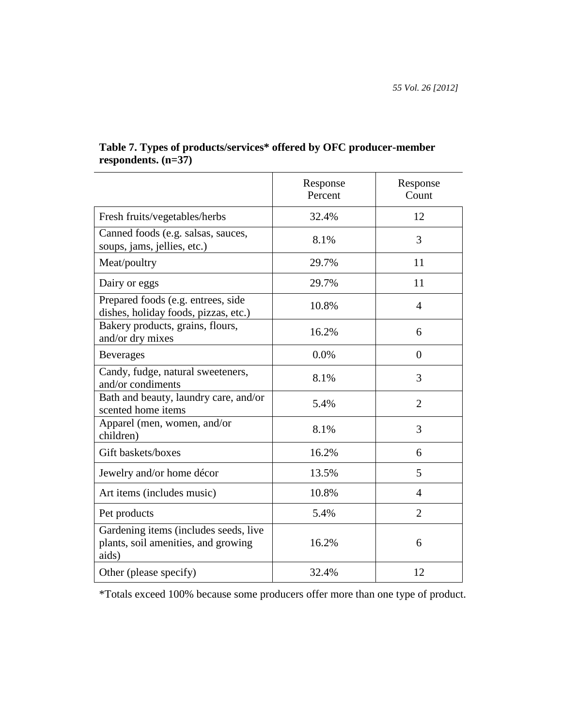|                                                                                       | Response<br>Percent | Response<br>Count |
|---------------------------------------------------------------------------------------|---------------------|-------------------|
| Fresh fruits/vegetables/herbs                                                         | 32.4%               | 12                |
| Canned foods (e.g. salsas, sauces,<br>soups, jams, jellies, etc.)                     | 8.1%                | 3                 |
| Meat/poultry                                                                          | 29.7%               | 11                |
| Dairy or eggs                                                                         | 29.7%               | 11                |
| Prepared foods (e.g. entrees, side<br>dishes, holiday foods, pizzas, etc.)            | 10.8%               | $\overline{4}$    |
| Bakery products, grains, flours,<br>and/or dry mixes                                  | 16.2%               | 6                 |
| <b>Beverages</b>                                                                      | 0.0%                | $\theta$          |
| Candy, fudge, natural sweeteners,<br>and/or condiments                                | 8.1%                | 3                 |
| Bath and beauty, laundry care, and/or<br>scented home items                           | 5.4%                | $\overline{2}$    |
| Apparel (men, women, and/or<br>children)                                              | 8.1%                | 3                 |
| Gift baskets/boxes                                                                    | 16.2%               | 6                 |
| Jewelry and/or home décor                                                             | 13.5%               | 5                 |
| Art items (includes music)                                                            | 10.8%               | $\overline{4}$    |
| Pet products                                                                          | 5.4%                | $\overline{2}$    |
| Gardening items (includes seeds, live<br>plants, soil amenities, and growing<br>aids) | 16.2%               | 6                 |
| Other (please specify)                                                                | 32.4%               | 12                |

## **Table 7. Types of products/services\* offered by OFC producer-member respondents. (n=37)**

\*Totals exceed 100% because some producers offer more than one type of product.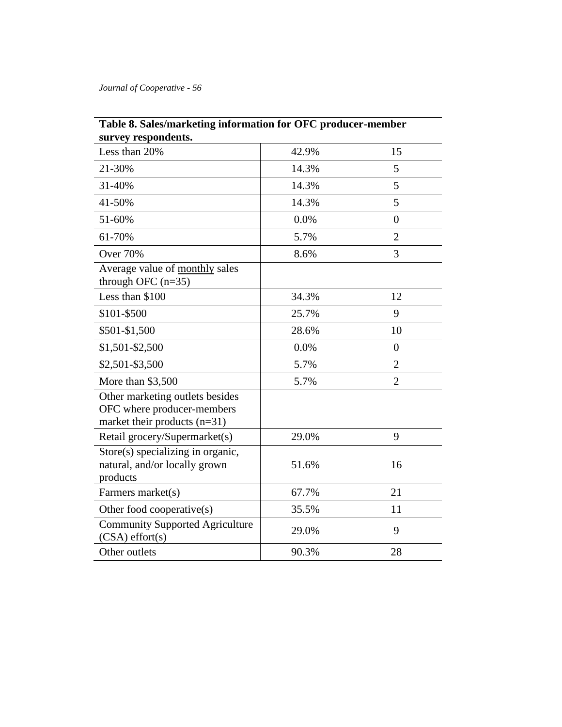| survey respondents.                                                                             |       |                |
|-------------------------------------------------------------------------------------------------|-------|----------------|
| Less than 20%                                                                                   | 42.9% | 15             |
| 21-30%                                                                                          | 14.3% | 5              |
| 31-40%                                                                                          | 14.3% | 5              |
| 41-50%                                                                                          | 14.3% | 5              |
| 51-60%                                                                                          | 0.0%  | $\overline{0}$ |
| 61-70%                                                                                          | 5.7%  | $\overline{2}$ |
| <b>Over 70%</b>                                                                                 | 8.6%  | 3              |
| Average value of monthly sales<br>through OFC $(n=35)$                                          |       |                |
| Less than \$100                                                                                 | 34.3% | 12             |
| \$101-\$500                                                                                     | 25.7% | 9              |
| \$501-\$1,500                                                                                   | 28.6% | 10             |
| \$1,501-\$2,500                                                                                 | 0.0%  | $\overline{0}$ |
| \$2,501-\$3,500                                                                                 | 5.7%  | $\overline{2}$ |
| More than \$3,500                                                                               | 5.7%  | $\overline{2}$ |
| Other marketing outlets besides<br>OFC where producer-members<br>market their products $(n=31)$ |       |                |
| Retail grocery/Supermarket(s)                                                                   | 29.0% | 9              |
| Store(s) specializing in organic,<br>natural, and/or locally grown<br>products                  | 51.6% | 16             |
| Farmers market(s)                                                                               | 67.7% | 21             |
| Other food cooperative(s)                                                                       | 35.5% | 11             |
| <b>Community Supported Agriculture</b><br>$(CSA)$ effort $(s)$                                  | 29.0% | 9              |
| Other outlets                                                                                   | 90.3% | 28             |

# **Table 8. Sales/marketing information for OFC producer-member**